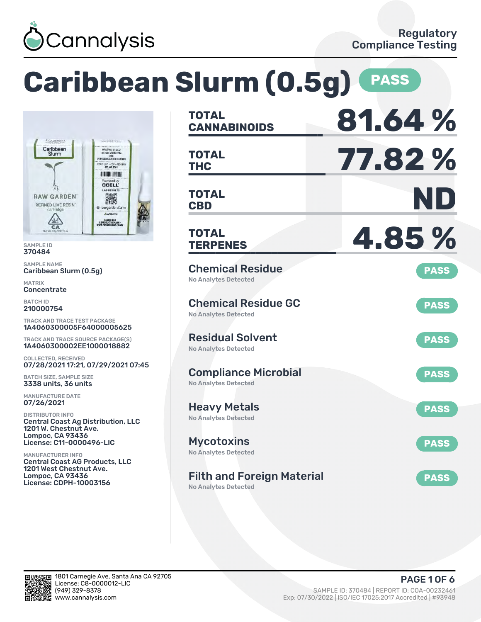

# **Caribbean Slurm (0.5g) PASS**



SAMPLE ID 370484

SAMPLE NAME Caribbean Slurm (0.5g)

MATRIX **Concentrate** 

BATCH ID 210000754

TRACK AND TRACE TEST PACKAGE 1A4060300005F64000005625

TRACK AND TRACE SOURCE PACKAGE(S) 1A4060300002EE1000018882

COLLECTED, RECEIVED 07/28/2021 17:21, 07/29/2021 07:45

BATCH SIZE, SAMPLE SIZE 3338 units, 36 units

MANUFACTURE DATE 07/26/2021

DISTRIBUTOR INFO Central Coast Ag Distribution, LLC 1201 W. Chestnut Ave. Lompoc, CA 93436 License: C11-0000496-LIC

MANUFACTURER INFO Central Coast AG Products, LLC 1201 West Chestnut Ave. Lompoc, CA 93436 License: CDPH-10003156

| <b>TOTAL</b><br><b>CANNABINOIDS</b>                        | 81.64%      |
|------------------------------------------------------------|-------------|
| TOTAL<br><b>THC</b>                                        | 77.82%      |
| <b>TOTAL</b><br><b>CBD</b>                                 | ND)         |
| TOTAL<br><b>TERPENES</b>                                   | 4.85%       |
| <b>Chemical Residue</b><br>No Analytes Detected            | <b>PASS</b> |
| <b>Chemical Residue GC</b><br><b>No Analytes Detected</b>  | <b>PASS</b> |
| <b>Residual Solvent</b><br><b>No Analytes Detected</b>     | <b>PASS</b> |
| <b>Compliance Microbial</b><br><b>No Analytes Detected</b> | <b>PASS</b> |
| Heavy Metals<br><b>No Analytes Detected</b>                | <b>PASS</b> |
| <b>Mycotoxins</b><br>No Analytes Detected                  | <b>PASS</b> |
| <b>Filth and Foreign Material</b><br>No Analytes Detected  | <b>PASS</b> |

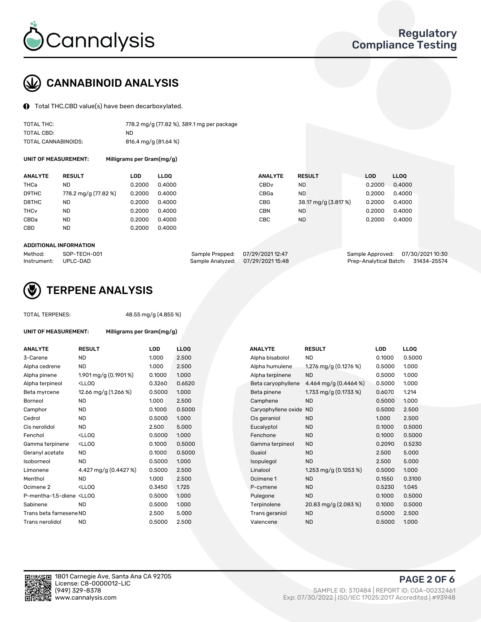

## CANNABINOID ANALYSIS

Total THC,CBD value(s) have been decarboxylated.

| TOTAL THC:          | 778.2 mg/g (77.82 %), 389.1 mg per package |
|---------------------|--------------------------------------------|
| TOTAL CBD:          | ND.                                        |
| TOTAL CANNABINOIDS: | 816.4 mg/g (81.64 %)                       |

UNIT OF MEASUREMENT: Milligrams per Gram(mg/g)

| <b>ANALYTE</b>         | <b>RESULT</b>        | LOD    | <b>LLOO</b> | <b>ANALYTE</b> | <b>RESULT</b>        | <b>LOD</b> | <b>LLOO</b> |
|------------------------|----------------------|--------|-------------|----------------|----------------------|------------|-------------|
| THCa                   | ND                   | 0.2000 | 0.4000      | CBDv           | ND                   | 0.2000     | 0.4000      |
| D9THC                  | 778.2 mg/g (77.82 %) | 0.2000 | 0.4000      | CBGa           | <b>ND</b>            | 0.2000     | 0.4000      |
| D8THC                  | ND                   | 0.2000 | 0.4000      | CBG            | 38.17 mg/g (3.817 %) | 0.2000     | 0.4000      |
| <b>THC<sub>v</sub></b> | <b>ND</b>            | 0.2000 | 0.4000      | CBN            | ND                   | 0.2000     | 0.4000      |
| CBDa                   | <b>ND</b>            | 0.2000 | 0.4000      | CBC            | <b>ND</b>            | 0.2000     | 0.4000      |
| CBD                    | ND                   | 0.2000 | 0.4000      |                |                      |            |             |
|                        |                      |        |             |                |                      |            |             |

#### ADDITIONAL INFORMATION

| Method:              | SOP-TECH-001 | Sample Prepped: 07/29/2021 12:47 | Sample Approved: 07/30/202110:30   |  |
|----------------------|--------------|----------------------------------|------------------------------------|--|
| Instrument: UPLC-DAD |              | Sample Analyzed: 07/29/202115:48 | Prep-Analytical Batch: 31434-25574 |  |



## TERPENE ANALYSIS

TOTAL TERPENES: 48.55 mg/g (4.855 %)

| UNIT OF MEASUREMENT: | Milligrams per Gram(mg/g)                     |        |   |
|----------------------|-----------------------------------------------|--------|---|
| <b>ANALYTE</b>       | <b>RESULT</b>                                 | LOD    |   |
| 3-Carene             | ND                                            | 1.000  |   |
| Alpha cedrene        | ND                                            | 1.000  |   |
| Alpha pinene         | $1.901 \,\mathrm{mag/g}$ (0.1901 %)           | 0.1000 |   |
| Alpha terpineol      | <ll00< td=""><td>0.3260</td><td></td></ll00<> | 0.3260 |   |
| Beta myrcene         | 12.66 mg/g (1.266 %)                          | 0.5000 | , |
| Borneol              | <b>ND</b>                                     | 1.000  |   |
| Camphor              | ND                                            | 0.1000 |   |
| Cedrol               | ND                                            | 0.5000 |   |
| Cis nerolidol        | ND                                            | 2.500  |   |
|                      |                                               |        |   |

| ANALYTE                                                                                                                                         | <b>RESULT</b>                                                                                                                                          | LOD    | LLOQ   | ANALYTE                | <b>RESULT</b>           | LOD    | <b>LLOQ</b> |
|-------------------------------------------------------------------------------------------------------------------------------------------------|--------------------------------------------------------------------------------------------------------------------------------------------------------|--------|--------|------------------------|-------------------------|--------|-------------|
| 3-Carene                                                                                                                                        | <b>ND</b>                                                                                                                                              | 1.000  | 2.500  | Alpha bisabolol        | <b>ND</b>               | 0.1000 | 0.5000      |
| Alpha cedrene                                                                                                                                   | <b>ND</b>                                                                                                                                              | 1.000  | 2.500  | Alpha humulene         | 1.276 mg/g (0.1276 %)   | 0.5000 | 1.000       |
| Alpha pinene                                                                                                                                    | 1.901 mg/g (0.1901 %)                                                                                                                                  | 0.1000 | 1.000  | Alpha terpinene        | <b>ND</b>               | 0.5000 | 1.000       |
| Alpha terpineol                                                                                                                                 | <lloq< td=""><td>0.3260</td><td>0.6520</td><td>Beta caryophyllene</td><td>4.464 mg/g <math>(0.4464\%)</math></td><td>0.5000</td><td>1.000</td></lloq<> | 0.3260 | 0.6520 | Beta caryophyllene     | 4.464 mg/g $(0.4464\%)$ | 0.5000 | 1.000       |
| Beta myrcene                                                                                                                                    | 12.66 mg/g (1.266 %)                                                                                                                                   | 0.5000 | 1.000  | Beta pinene            | 1.733 mg/g (0.1733 %)   | 0.6070 | 1.214       |
| Borneol                                                                                                                                         | <b>ND</b>                                                                                                                                              | 1.000  | 2.500  | Camphene               | <b>ND</b>               | 0.5000 | 1.000       |
| Camphor                                                                                                                                         | <b>ND</b>                                                                                                                                              | 0.1000 | 0.5000 | Caryophyllene oxide ND |                         | 0.5000 | 2.500       |
| Cedrol                                                                                                                                          | <b>ND</b>                                                                                                                                              | 0.5000 | 1.000  | Cis geraniol           | <b>ND</b>               | 1.000  | 2.500       |
| Cis nerolidol                                                                                                                                   | <b>ND</b>                                                                                                                                              | 2.500  | 5.000  | Eucalyptol             | <b>ND</b>               | 0.1000 | 0.5000      |
| Fenchol                                                                                                                                         | <lloq< td=""><td>0.5000</td><td>1.000</td><td>Fenchone</td><td><b>ND</b></td><td>0.1000</td><td>0.5000</td></lloq<>                                    | 0.5000 | 1.000  | Fenchone               | <b>ND</b>               | 0.1000 | 0.5000      |
| Gamma terpinene                                                                                                                                 | <ll0q< td=""><td>0.1000</td><td>0.5000</td><td>Gamma terpineol</td><td><b>ND</b></td><td>0.2090</td><td>0.5230</td></ll0q<>                            | 0.1000 | 0.5000 | Gamma terpineol        | <b>ND</b>               | 0.2090 | 0.5230      |
| Geranyl acetate                                                                                                                                 | <b>ND</b>                                                                                                                                              | 0.1000 | 0.5000 | Guaiol                 | <b>ND</b>               | 2.500  | 5.000       |
| Isoborneol                                                                                                                                      | <b>ND</b>                                                                                                                                              | 0.5000 | 1.000  | Isopulegol             | <b>ND</b>               | 2.500  | 5.000       |
| Limonene                                                                                                                                        | 4.427 mg/g (0.4427 %)                                                                                                                                  | 0.5000 | 2.500  | Linalool               | 1.253 mg/g $(0.1253\%)$ | 0.5000 | 1.000       |
| Menthol                                                                                                                                         | <b>ND</b>                                                                                                                                              | 1.000  | 2.500  | Ocimene 1              | <b>ND</b>               | 0.1550 | 0.3100      |
| Ocimene 2                                                                                                                                       | <lloq< td=""><td>0.3450</td><td>1.725</td><td>P-cymene</td><td><b>ND</b></td><td>0.5230</td><td>1.045</td></lloq<>                                     | 0.3450 | 1.725  | P-cymene               | <b>ND</b>               | 0.5230 | 1.045       |
| P-mentha-1,5-diene <lloq< td=""><td></td><td>0.5000</td><td>1.000</td><td>Pulegone</td><td><b>ND</b></td><td>0.1000</td><td>0.5000</td></lloq<> |                                                                                                                                                        | 0.5000 | 1.000  | Pulegone               | <b>ND</b>               | 0.1000 | 0.5000      |
| Sabinene                                                                                                                                        | <b>ND</b>                                                                                                                                              | 0.5000 | 1.000  | Terpinolene            | 20.83 mg/g (2.083 %)    | 0.1000 | 0.5000      |
| Trans beta farneseneND                                                                                                                          |                                                                                                                                                        | 2.500  | 5.000  | Trans geraniol         | <b>ND</b>               | 0.5000 | 2.500       |
| Trans nerolidol                                                                                                                                 | <b>ND</b>                                                                                                                                              | 0.5000 | 2.500  | Valencene              | <b>ND</b>               | 0.5000 | 1.000       |



PAGE 2 OF 6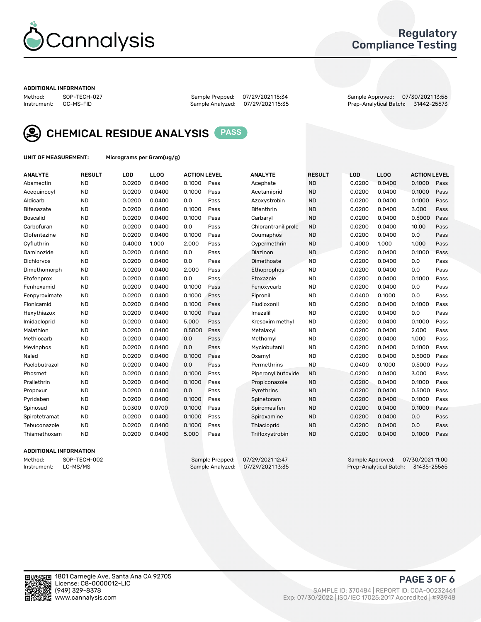

## Regulatory Compliance Testing

#### ADDITIONAL INFORMATION

Sample Analyzed: 07/29/2021 15:35

Method: SOP-TECH-027 Sample Prepped: 07/29/2021 15:34 Sample Approved: 07/30/2021 13:56



CHEMICAL RESIDUE ANALYSIS PASS

UNIT OF MEASUREMENT: Micrograms per Gram(ug/g)

| <b>ANALYTE</b>    | <b>RESULT</b> | LOD    | LLOQ   | <b>ACTION LEVEL</b> |      | <b>ANALYTE</b>      | <b>RESULT</b> | LOD    | <b>LLOQ</b> | <b>ACTION LEVEL</b> |      |
|-------------------|---------------|--------|--------|---------------------|------|---------------------|---------------|--------|-------------|---------------------|------|
| Abamectin         | <b>ND</b>     | 0.0200 | 0.0400 | 0.1000              | Pass | Acephate            | <b>ND</b>     | 0.0200 | 0.0400      | 0.1000              | Pass |
| Acequinocyl       | <b>ND</b>     | 0.0200 | 0.0400 | 0.1000              | Pass | Acetamiprid         | <b>ND</b>     | 0.0200 | 0.0400      | 0.1000              | Pass |
| Aldicarb          | <b>ND</b>     | 0.0200 | 0.0400 | 0.0                 | Pass | Azoxystrobin        | <b>ND</b>     | 0.0200 | 0.0400      | 0.1000              | Pass |
| Bifenazate        | <b>ND</b>     | 0.0200 | 0.0400 | 0.1000              | Pass | Bifenthrin          | <b>ND</b>     | 0.0200 | 0.0400      | 3.000               | Pass |
| <b>Boscalid</b>   | <b>ND</b>     | 0.0200 | 0.0400 | 0.1000              | Pass | Carbaryl            | <b>ND</b>     | 0.0200 | 0.0400      | 0.5000              | Pass |
| Carbofuran        | <b>ND</b>     | 0.0200 | 0.0400 | 0.0                 | Pass | Chlorantraniliprole | <b>ND</b>     | 0.0200 | 0.0400      | 10.00               | Pass |
| Clofentezine      | <b>ND</b>     | 0.0200 | 0.0400 | 0.1000              | Pass | Coumaphos           | <b>ND</b>     | 0.0200 | 0.0400      | 0.0                 | Pass |
| Cyfluthrin        | <b>ND</b>     | 0.4000 | 1.000  | 2.000               | Pass | Cypermethrin        | <b>ND</b>     | 0.4000 | 1.000       | 1.000               | Pass |
| Daminozide        | <b>ND</b>     | 0.0200 | 0.0400 | 0.0                 | Pass | Diazinon            | <b>ND</b>     | 0.0200 | 0.0400      | 0.1000              | Pass |
| <b>Dichlorvos</b> | <b>ND</b>     | 0.0200 | 0.0400 | 0.0                 | Pass | Dimethoate          | <b>ND</b>     | 0.0200 | 0.0400      | 0.0                 | Pass |
| Dimethomorph      | <b>ND</b>     | 0.0200 | 0.0400 | 2.000               | Pass | Ethoprophos         | <b>ND</b>     | 0.0200 | 0.0400      | 0.0                 | Pass |
| Etofenprox        | <b>ND</b>     | 0.0200 | 0.0400 | 0.0                 | Pass | Etoxazole           | <b>ND</b>     | 0.0200 | 0.0400      | 0.1000              | Pass |
| Fenhexamid        | <b>ND</b>     | 0.0200 | 0.0400 | 0.1000              | Pass | Fenoxycarb          | <b>ND</b>     | 0.0200 | 0.0400      | 0.0                 | Pass |
| Fenpyroximate     | <b>ND</b>     | 0.0200 | 0.0400 | 0.1000              | Pass | Fipronil            | <b>ND</b>     | 0.0400 | 0.1000      | 0.0                 | Pass |
| Flonicamid        | <b>ND</b>     | 0.0200 | 0.0400 | 0.1000              | Pass | Fludioxonil         | <b>ND</b>     | 0.0200 | 0.0400      | 0.1000              | Pass |
| Hexythiazox       | <b>ND</b>     | 0.0200 | 0.0400 | 0.1000              | Pass | Imazalil            | <b>ND</b>     | 0.0200 | 0.0400      | 0.0                 | Pass |
| Imidacloprid      | <b>ND</b>     | 0.0200 | 0.0400 | 5.000               | Pass | Kresoxim methyl     | <b>ND</b>     | 0.0200 | 0.0400      | 0.1000              | Pass |
| Malathion         | <b>ND</b>     | 0.0200 | 0.0400 | 0.5000              | Pass | Metalaxyl           | <b>ND</b>     | 0.0200 | 0.0400      | 2.000               | Pass |
| Methiocarb        | <b>ND</b>     | 0.0200 | 0.0400 | 0.0                 | Pass | Methomyl            | <b>ND</b>     | 0.0200 | 0.0400      | 1.000               | Pass |
| Mevinphos         | <b>ND</b>     | 0.0200 | 0.0400 | 0.0                 | Pass | Myclobutanil        | <b>ND</b>     | 0.0200 | 0.0400      | 0.1000              | Pass |
| Naled             | <b>ND</b>     | 0.0200 | 0.0400 | 0.1000              | Pass | Oxamyl              | <b>ND</b>     | 0.0200 | 0.0400      | 0.5000              | Pass |
| Paclobutrazol     | <b>ND</b>     | 0.0200 | 0.0400 | 0.0                 | Pass | Permethrins         | <b>ND</b>     | 0.0400 | 0.1000      | 0.5000              | Pass |
| Phosmet           | <b>ND</b>     | 0.0200 | 0.0400 | 0.1000              | Pass | Piperonyl butoxide  | <b>ND</b>     | 0.0200 | 0.0400      | 3.000               | Pass |
| Prallethrin       | <b>ND</b>     | 0.0200 | 0.0400 | 0.1000              | Pass | Propiconazole       | <b>ND</b>     | 0.0200 | 0.0400      | 0.1000              | Pass |
| Propoxur          | <b>ND</b>     | 0.0200 | 0.0400 | 0.0                 | Pass | Pyrethrins          | <b>ND</b>     | 0.0200 | 0.0400      | 0.5000              | Pass |
| Pyridaben         | <b>ND</b>     | 0.0200 | 0.0400 | 0.1000              | Pass | Spinetoram          | <b>ND</b>     | 0.0200 | 0.0400      | 0.1000              | Pass |
| Spinosad          | <b>ND</b>     | 0.0300 | 0.0700 | 0.1000              | Pass | Spiromesifen        | <b>ND</b>     | 0.0200 | 0.0400      | 0.1000              | Pass |
| Spirotetramat     | <b>ND</b>     | 0.0200 | 0.0400 | 0.1000              | Pass | Spiroxamine         | <b>ND</b>     | 0.0200 | 0.0400      | 0.0                 | Pass |
| Tebuconazole      | <b>ND</b>     | 0.0200 | 0.0400 | 0.1000              | Pass | Thiacloprid         | <b>ND</b>     | 0.0200 | 0.0400      | 0.0                 | Pass |
| Thiamethoxam      | <b>ND</b>     | 0.0200 | 0.0400 | 5.000               | Pass | Trifloxystrobin     | <b>ND</b>     | 0.0200 | 0.0400      | 0.1000              | Pass |
|                   |               |        |        |                     |      |                     |               |        |             |                     |      |

#### ADDITIONAL INFORMATION

Method: SOP-TECH-002 Sample Prepped: 07/29/2021 12:47 Sample Approved: 07/30/2021 11:00<br>Instrument: LC-MS/MS Sample Analyzed: 07/29/2021 13:35 Prep-Analytical Batch: 31435-25565 Prep-Analytical Batch: 31435-25565

PAGE 3 OF 6

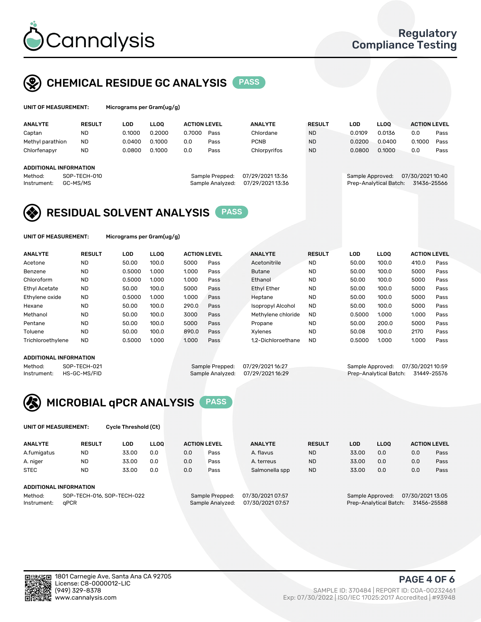

## CHEMICAL RESIDUE GC ANALYSIS PASS

| UNIT OF MEASUREMENT: | Micrograms per Gram(ug/g) |
|----------------------|---------------------------|
|                      |                           |

| <b>ANALYTE</b>         | <b>RESULT</b> | LOD    | <b>LLOO</b> | <b>ACTION LEVEL</b> |                  | <b>ANALYTE</b>   | <b>RESULT</b> | LOD              | <b>LLOO</b>            | <b>ACTION LEVEL</b> |      |
|------------------------|---------------|--------|-------------|---------------------|------------------|------------------|---------------|------------------|------------------------|---------------------|------|
| Captan                 | <b>ND</b>     | 0.1000 | 0.2000      | 0.7000              | Pass             | Chlordane        | <b>ND</b>     | 0.0109           | 0.0136                 | 0.0                 | Pass |
| Methyl parathion       | <b>ND</b>     | 0.0400 | 0.1000      | 0.0                 | Pass             | <b>PCNB</b>      | <b>ND</b>     | 0.0200           | 0.0400                 | 0.1000              | Pass |
| Chlorfenapyr           | <b>ND</b>     | 0.0800 | 0.1000      | 0.0                 | Pass             | Chlorpyrifos     | <b>ND</b>     | 0.0800           | 0.1000                 | 0.0                 | Pass |
|                        |               |        |             |                     |                  |                  |               |                  |                        |                     |      |
| ADDITIONAL INFORMATION |               |        |             |                     |                  |                  |               |                  |                        |                     |      |
| Method:                | SOP-TECH-010  |        |             |                     | Sample Prepped:  | 07/29/2021 13:36 |               | Sample Approved: |                        | 07/30/2021 10:40    |      |
| Instrument:            | GC-MS/MS      |        |             |                     | Sample Analyzed: | 07/29/2021 13:36 |               |                  | Prep-Analytical Batch: | 31436-25566         |      |

## RESIDUAL SOLVENT ANALYSIS PASS

UNIT OF MEASUREMENT: Micrograms per Gram(ug/g)

| <b>ANALYTE</b>       | <b>RESULT</b> | <b>LOD</b> | <b>LLOO</b> | <b>ACTION LEVEL</b> |      | <b>ANALYTE</b>           | <b>RESULT</b> | <b>LOD</b> | LLOO  | <b>ACTION LEVEL</b> |      |
|----------------------|---------------|------------|-------------|---------------------|------|--------------------------|---------------|------------|-------|---------------------|------|
| Acetone              | <b>ND</b>     | 50.00      | 100.0       | 5000                | Pass | Acetonitrile             | <b>ND</b>     | 50.00      | 100.0 | 410.0               | Pass |
| Benzene              | <b>ND</b>     | 0.5000     | 1.000       | 1.000               | Pass | <b>Butane</b>            | <b>ND</b>     | 50.00      | 100.0 | 5000                | Pass |
| Chloroform           | <b>ND</b>     | 0.5000     | 1.000       | 1.000               | Pass | Ethanol                  | <b>ND</b>     | 50.00      | 100.0 | 5000                | Pass |
| <b>Ethyl Acetate</b> | <b>ND</b>     | 50.00      | 100.0       | 5000                | Pass | <b>Ethyl Ether</b>       | <b>ND</b>     | 50.00      | 100.0 | 5000                | Pass |
| Ethylene oxide       | <b>ND</b>     | 0.5000     | 1.000       | 1.000               | Pass | Heptane                  | <b>ND</b>     | 50.00      | 100.0 | 5000                | Pass |
| Hexane               | <b>ND</b>     | 50.00      | 100.0       | 290.0               | Pass | <b>Isopropyl Alcohol</b> | <b>ND</b>     | 50.00      | 100.0 | 5000                | Pass |
| Methanol             | <b>ND</b>     | 50.00      | 100.0       | 3000                | Pass | Methylene chloride       | <b>ND</b>     | 0.5000     | 1.000 | 1.000               | Pass |
| Pentane              | <b>ND</b>     | 50.00      | 100.0       | 5000                | Pass | Propane                  | <b>ND</b>     | 50.00      | 200.0 | 5000                | Pass |
| Toluene              | <b>ND</b>     | 50.00      | 100.0       | 890.0               | Pass | Xylenes                  | <b>ND</b>     | 50.08      | 100.0 | 2170                | Pass |
| Trichloroethylene    | <b>ND</b>     | 0.5000     | 1.000       | 1.000               | Pass | 1.2-Dichloroethane       | <b>ND</b>     | 0.5000     | 1.000 | 1.000               | Pass |

#### ADDITIONAL INFORMATION

Method: SOP-TECH-021 Sample Prepped: 07/29/2021 16:27 Sample Approved: 07/30/2021 10:59<br>Sample Analyzed: 07/29/2021 16:29 Prep-Analytical Batch: 31449-25576 Prep-Analytical Batch: 31449-25576



UNIT OF MEASUREMENT: Cycle Threshold (Ct)

| <b>ANALYTE</b>         | <b>RESULT</b>              | LOD   | <b>LLOO</b> |     | <b>ACTION LEVEL</b> | <b>ANALYTE</b>   | <b>RESULT</b> | LOD                                 | <b>LLOO</b>            |     | <b>ACTION LEVEL</b> |
|------------------------|----------------------------|-------|-------------|-----|---------------------|------------------|---------------|-------------------------------------|------------------------|-----|---------------------|
| A.fumigatus            | <b>ND</b>                  | 33.00 | 0.0         | 0.0 | Pass                | A. flavus        | <b>ND</b>     | 33.00                               | 0.0                    | 0.0 | Pass                |
| A. niger               | <b>ND</b>                  | 33.00 | 0.0         | 0.0 | Pass                | A. terreus       | <b>ND</b>     | 33.00                               | 0.0                    | 0.0 | Pass                |
| <b>STEC</b>            | <b>ND</b>                  | 33.00 | 0.0         | 0.0 | Pass                | Salmonella spp   | <b>ND</b>     | 33.00                               | 0.0                    | 0.0 | Pass                |
| ADDITIONAL INFORMATION |                            |       |             |     |                     |                  |               |                                     |                        |     |                     |
| Method:                | SOP-TECH-016, SOP-TECH-022 |       |             |     | Sample Prepped:     | 07/30/2021 07:57 |               | 07/30/202113:05<br>Sample Approved: |                        |     |                     |
| Instrument:            | aPCR                       |       |             |     | Sample Analyzed:    | 07/30/2021 07:57 |               |                                     | Prep-Analytical Batch: |     | 31456-25588         |



PAGE 4 OF 6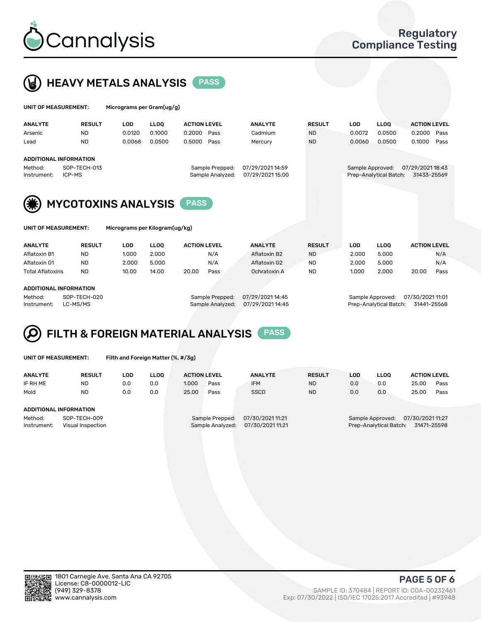



| UNIT OF MEASUREMENT: |                            | Micrograms per Gram(ug/g) |        |                     |                  |                  |               |                  |                        |                     |      |
|----------------------|----------------------------|---------------------------|--------|---------------------|------------------|------------------|---------------|------------------|------------------------|---------------------|------|
| <b>ANALYTE</b>       | <b>RESULT</b>              | <b>LOD</b>                | LLOO   | <b>ACTION LEVEL</b> |                  | <b>ANALYTE</b>   | <b>RESULT</b> | <b>LOD</b>       | <b>LLOQ</b>            | <b>ACTION LEVEL</b> |      |
| Arsenic              | <b>ND</b>                  | 0.0120                    | 0.1000 | 0.2000              | Pass             | Cadmium          | <b>ND</b>     | 0.0072           | 0.0500                 | 0.2000              | Pass |
| Lead                 | <b>ND</b>                  | 0.0068                    | 0.0500 | 0.5000              | Pass             | Mercury          | <b>ND</b>     | 0.0060           | 0.0500                 | 0.1000              | Pass |
|                      | ADDITIONAL INFORMATION     |                           |        |                     |                  |                  |               |                  |                        |                     |      |
| Method:              | SOP-TECH-013               |                           |        |                     | Sample Prepped:  | 07/29/2021 14:59 |               | Sample Approved: |                        | 07/29/2021 18:43    |      |
| Instrument:          | ICP-MS                     |                           |        |                     | Sample Analyzed: | 07/29/2021 15:00 |               |                  | Prep-Analytical Batch: | 31433-25569         |      |
| (纂)                  | <b>MYCOTOXINS ANALYSIS</b> |                           |        | <b>PASS</b>         |                  |                  |               |                  |                        |                     |      |

UNIT OF MEASUREMENT: Micrograms per Kilogram(ug/kg)

| <b>ANALYTE</b>          | <b>RESULT</b><br><b>LLOO</b><br>LOD<br><b>ACTION LEVEL</b> |       |       | <b>ANALYTE</b> | <b>RESULT</b> | LOD          | <b>LLOO</b> | <b>ACTION LEVEL</b> |       |       |      |
|-------------------------|------------------------------------------------------------|-------|-------|----------------|---------------|--------------|-------------|---------------------|-------|-------|------|
| Aflatoxin B1            | <b>ND</b>                                                  | 1.000 | 2.000 |                | N/A           | Aflatoxin B2 | <b>ND</b>   | 2.000               | 5.000 |       | N/A  |
| Aflatoxin G1            | <b>ND</b>                                                  | 2.000 | 5.000 |                | N/A           | Aflatoxin G2 | <b>ND</b>   | 2.000               | 5.000 |       | N/A  |
| <b>Total Aflatoxins</b> | <b>ND</b>                                                  | 10.00 | 14.00 | 20.00          | Pass          | Ochratoxin A | <b>ND</b>   | 1.000               | 2.000 | 20.00 | Pass |
|                         |                                                            |       |       |                |               |              |             |                     |       |       |      |
|                         |                                                            |       |       |                |               |              |             |                     |       |       |      |

#### ADDITIONAL INFORMATION

Method: SOP-TECH-020 Sample Prepped: 07/29/2021 14:45 Sample Approved: 07/30/2021 11:01 Instrument: LC-MS/MS Sample Analyzed: 07/29/2021 14:45 Prep-Analytical Batch: 31441-25568

# FILTH & FOREIGN MATERIAL ANALYSIS PASS

UNIT OF MEASUREMENT: Filth and Foreign Matter (%, #/3g)

| <b>ANALYTE</b>                                              | <b>RESULT</b> | LOD. | LLOO | <b>ACTION LEVEL</b> |                                     | <b>ANALYTE</b>                      | <b>RESULT</b>                              | <b>LLOO</b><br>LOD |     | <b>ACTION LEVEL</b>             |      |  |
|-------------------------------------------------------------|---------------|------|------|---------------------|-------------------------------------|-------------------------------------|--------------------------------------------|--------------------|-----|---------------------------------|------|--|
| IF RH ME                                                    | <b>ND</b>     | 0.0  | 0.0  | 1.000               | Pass                                | <b>IFM</b>                          | <b>ND</b>                                  | 0.0                | 0.0 | 25.00                           | Pass |  |
| Mold                                                        | <b>ND</b>     | 0.0  | 0.0  | 25.00               | Pass                                | <b>SSCD</b>                         | <b>ND</b>                                  | 0.0                | 0.0 | 25.00                           | Pass |  |
| ADDITIONAL INFORMATION                                      |               |      |      |                     |                                     |                                     |                                            |                    |     |                                 |      |  |
| Method:<br>SOP-TECH-009<br>Instrument:<br>Visual Inspection |               |      |      |                     | Sample Prepped:<br>Sample Analyzed: | 07/30/2021 11:21<br>07/30/202111:21 | Sample Approved:<br>Prep-Analytical Batch: |                    |     | 07/30/2021 11:27<br>31471-25598 |      |  |



PAGE 5 OF 6